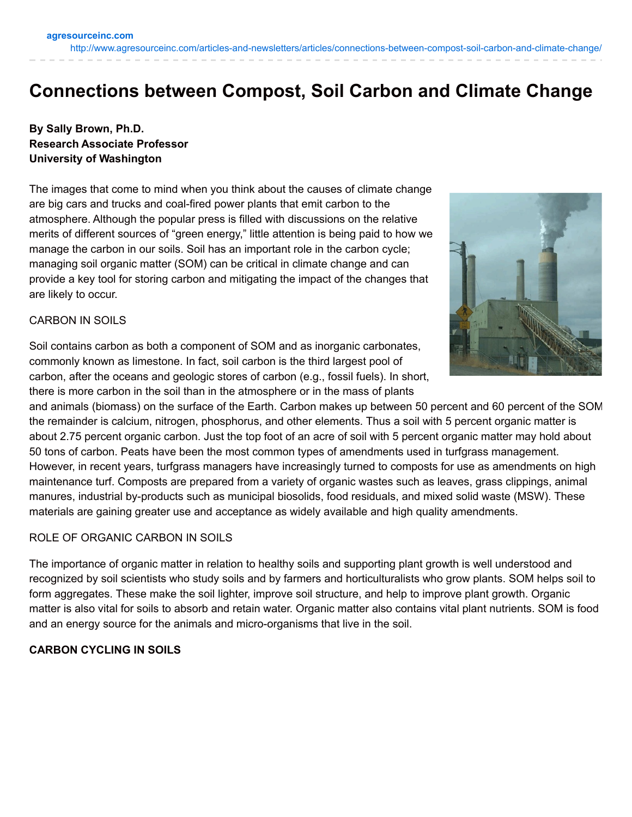# **Connections between Compost, Soil Carbon and Climate Change**

## **By Sally Brown, Ph.D. Research Associate Professor University of Washington**

The images that come to mind when you think about the causes of climate change are big cars and trucks and coal-fired power plants that emit carbon to the atmosphere. Although the popular press is filled with discussions on the relative merits of different sources of "green energy," little attention is being paid to how we manage the carbon in our soils. Soil has an important role in the carbon cycle; managing soil organic matter (SOM) can be critical in climate change and can provide a key tool for storing carbon and mitigating the impact of the changes that are likely to occur.



### CARBON IN SOILS

Soil contains carbon as both a component of SOM and as inorganic carbonates, commonly known as limestone. In fact, soil carbon is the third largest pool of carbon, after the oceans and geologic stores of carbon (e.g., fossil fuels). In short, there is more carbon in the soil than in the atmosphere or in the mass of plants

and animals (biomass) on the surface of the Earth. Carbon makes up between 50 percent and 60 percent of the SOM; the remainder is calcium, nitrogen, phosphorus, and other elements. Thus a soil with 5 percent organic matter is about 2.75 percent organic carbon. Just the top foot of an acre of soil with 5 percent organic matter may hold about 50 tons of carbon. Peats have been the most common types of amendments used in turfgrass management. However, in recent years, turfgrass managers have increasingly turned to composts for use as amendments on high maintenance turf. Composts are prepared from a variety of organic wastes such as leaves, grass clippings, animal manures, industrial by-products such as municipal biosolids, food residuals, and mixed solid waste (MSW). These materials are gaining greater use and acceptance as widely available and high quality amendments.

### ROLE OF ORGANIC CARBON IN SOILS

The importance of organic matter in relation to healthy soils and supporting plant growth is well understood and recognized by soil scientists who study soils and by farmers and horticulturalists who grow plants. SOM helps soil to form aggregates. These make the soil lighter, improve soil structure, and help to improve plant growth. Organic matter is also vital for soils to absorb and retain water. Organic matter also contains vital plant nutrients. SOM is food and an energy source for the animals and micro-organisms that live in the soil.

### **CARBON CYCLING IN SOILS**